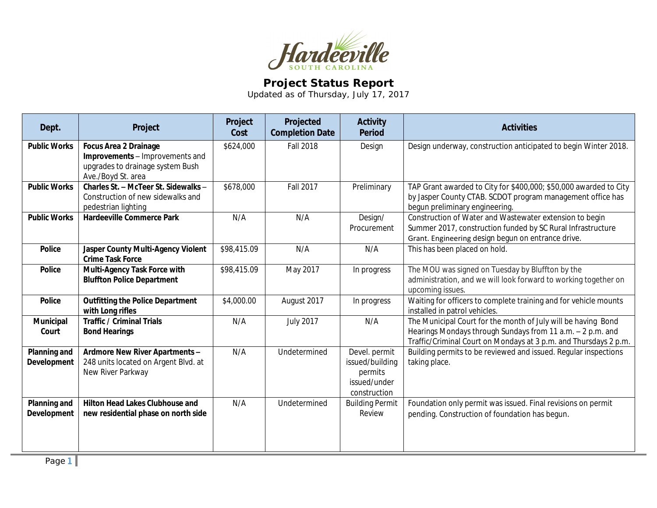

## **Project Status Report**

Updated as of Thursday, July 17, 2017

| Dept.                                     | Project                                                                                                                   | Project<br>Cost | Projected<br><b>Completion Date</b> | <b>Activity</b><br><b>Period</b>                                            | <b>Activities</b>                                                                                                                                                                               |
|-------------------------------------------|---------------------------------------------------------------------------------------------------------------------------|-----------------|-------------------------------------|-----------------------------------------------------------------------------|-------------------------------------------------------------------------------------------------------------------------------------------------------------------------------------------------|
| <b>Public Works</b>                       | <b>Focus Area 2 Drainage</b><br>Improvements - Improvements and<br>upgrades to drainage system Bush<br>Ave./Boyd St. area | \$624,000       | <b>Fall 2018</b>                    | Design                                                                      | Design underway, construction anticipated to begin Winter 2018.                                                                                                                                 |
| <b>Public Works</b>                       | Charles St. - McTeer St. Sidewalks -<br>Construction of new sidewalks and<br>pedestrian lighting                          | \$678,000       | <b>Fall 2017</b>                    | Preliminary                                                                 | TAP Grant awarded to City for \$400,000; \$50,000 awarded to City<br>by Jasper County CTAB. SCDOT program management office has<br>begun preliminary engineering.                               |
| <b>Public Works</b>                       | <b>Hardeeville Commerce Park</b>                                                                                          | N/A             | N/A                                 | Design/<br>Procurement                                                      | Construction of Water and Wastewater extension to begin<br>Summer 2017, construction funded by SC Rural Infrastructure<br>Grant. Engineering design begun on entrance drive.                    |
| <b>Police</b>                             | <b>Jasper County Multi-Agency Violent</b><br><b>Crime Task Force</b>                                                      | \$98,415.09     | N/A                                 | N/A                                                                         | This has been placed on hold.                                                                                                                                                                   |
| <b>Police</b>                             | Multi-Agency Task Force with<br><b>Bluffton Police Department</b>                                                         | \$98,415.09     | May 2017                            | In progress                                                                 | The MOU was signed on Tuesday by Bluffton by the<br>administration, and we will look forward to working together on<br>upcoming issues.                                                         |
| Police                                    | <b>Outfitting the Police Department</b><br>with Long rifles                                                               | \$4,000.00      | August 2017                         | In progress                                                                 | Waiting for officers to complete training and for vehicle mounts<br>installed in patrol vehicles.                                                                                               |
| Municipal<br>Court                        | <b>Traffic / Criminal Trials</b><br><b>Bond Hearings</b>                                                                  | N/A             | <b>July 2017</b>                    | N/A                                                                         | The Municipal Court for the month of July will be having Bond<br>Hearings Mondays through Sundays from 11 a.m. - 2 p.m. and<br>Traffic/Criminal Court on Mondays at 3 p.m. and Thursdays 2 p.m. |
| <b>Planning and</b><br><b>Development</b> | Ardmore New River Apartments -<br>248 units located on Argent Blvd. at<br>New River Parkway                               | N/A             | Undetermined                        | Devel. permit<br>issued/building<br>permits<br>issued/under<br>construction | Building permits to be reviewed and issued. Regular inspections<br>taking place.                                                                                                                |
| Planning and<br>Development               | <b>Hilton Head Lakes Clubhouse and</b><br>new residential phase on north side                                             | N/A             | Undetermined                        | <b>Building Permit</b><br>Review                                            | Foundation only permit was issued. Final revisions on permit<br>pending. Construction of foundation has begun.                                                                                  |